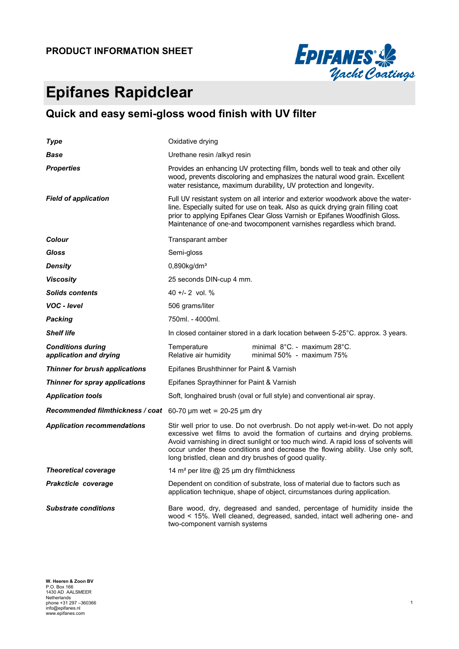#### **PRODUCT INFORMATION SHEET**



# **Epifanes Rapidclear**

### **Quick and easy semi-gloss wood finish with UV filter**

| Type                                               | Oxidative drying                                                                                                                                                                                                                                                                                                                                                                                |  |  |  |  |
|----------------------------------------------------|-------------------------------------------------------------------------------------------------------------------------------------------------------------------------------------------------------------------------------------------------------------------------------------------------------------------------------------------------------------------------------------------------|--|--|--|--|
| Base                                               | Urethane resin /alkyd resin                                                                                                                                                                                                                                                                                                                                                                     |  |  |  |  |
| <b>Properties</b>                                  | Provides an enhancing UV protecting fillm, bonds well to teak and other oily<br>wood, prevents discoloring and emphasizes the natural wood grain. Excellent<br>water resistance, maximum durability, UV protection and longevity.                                                                                                                                                               |  |  |  |  |
| <b>Field of application</b>                        | Full UV resistant system on all interior and exterior woodwork above the water-<br>line. Especially suited for use on teak. Also as quick drying grain filling coat<br>prior to applying Epifanes Clear Gloss Varnish or Epifanes Woodfinish Gloss.<br>Maintenance of one-and twocomponent varnishes regardless which brand.                                                                    |  |  |  |  |
| Colour                                             | Transparant amber                                                                                                                                                                                                                                                                                                                                                                               |  |  |  |  |
| Gloss                                              | Semi-gloss                                                                                                                                                                                                                                                                                                                                                                                      |  |  |  |  |
| <b>Density</b>                                     | $0,890$ kg/dm <sup>3</sup>                                                                                                                                                                                                                                                                                                                                                                      |  |  |  |  |
| <b>Viscosity</b>                                   | 25 seconds DIN-cup 4 mm.                                                                                                                                                                                                                                                                                                                                                                        |  |  |  |  |
| <b>Solids contents</b>                             | 40 +/- 2 vol. %                                                                                                                                                                                                                                                                                                                                                                                 |  |  |  |  |
| VOC - level                                        | 506 grams/liter                                                                                                                                                                                                                                                                                                                                                                                 |  |  |  |  |
| <b>Packing</b>                                     | 750ml. - 4000ml.                                                                                                                                                                                                                                                                                                                                                                                |  |  |  |  |
| <b>Shelf life</b>                                  | In closed container stored in a dark location between 5-25°C. approx. 3 years.                                                                                                                                                                                                                                                                                                                  |  |  |  |  |
| <b>Conditions during</b><br>application and drying | minimal $8^{\circ}$ C. - maximum 28 $^{\circ}$ C.<br>Temperature<br>minimal 50% - maximum 75%<br>Relative air humidity                                                                                                                                                                                                                                                                          |  |  |  |  |
| Thinner for brush applications                     | Epifanes Brushthinner for Paint & Varnish                                                                                                                                                                                                                                                                                                                                                       |  |  |  |  |
| Thinner for spray applications                     | Epifanes Spraythinner for Paint & Varnish                                                                                                                                                                                                                                                                                                                                                       |  |  |  |  |
| <b>Application tools</b>                           | Soft, longhaired brush (oval or full style) and conventional air spray.                                                                                                                                                                                                                                                                                                                         |  |  |  |  |
| Recommended filmthickness / coat                   | 60-70 $\mu$ m wet = 20-25 $\mu$ m dry                                                                                                                                                                                                                                                                                                                                                           |  |  |  |  |
| <b>Application recommendations</b>                 | Stir well prior to use. Do not overbrush. Do not apply wet-in-wet. Do not apply<br>excessive wet films to avoid the formation of curtains and drying problems.<br>Avoid varnishing in direct sunlight or too much wind. A rapid loss of solvents will<br>occur under these conditions and decrease the flowing ability. Use only soft,<br>long bristled, clean and dry brushes of good quality. |  |  |  |  |
| <b>Theoretical coverage</b>                        | 14 m <sup>2</sup> per litre @ 25 µm dry filmthickness                                                                                                                                                                                                                                                                                                                                           |  |  |  |  |
| Prakcticle coverage                                | Dependent on condition of substrate, loss of material due to factors such as<br>application technique, shape of object, circumstances during application.                                                                                                                                                                                                                                       |  |  |  |  |
| <b>Substrate conditions</b>                        | Bare wood, dry, degreased and sanded, percentage of humidity inside the<br>wood < 15%. Well cleaned, degreased, sanded, intact well adhering one- and<br>two-component varnish systems                                                                                                                                                                                                          |  |  |  |  |